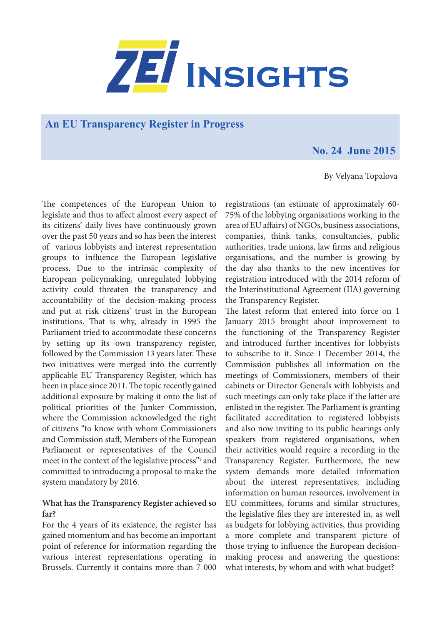

## **An EU Transparency Register in Progress**

# **No. 24 June 2015**

#### By Velyana Topalova

The competences of the European Union to legislate and thus to affect almost every aspect of its citizens' daily lives have continuously grown over the past 50 years and so has been the interest of various lobbyists and interest representation groups to influence the European legislative process. Due to the intrinsic complexity of European policymaking, unregulated lobbying activity could threaten the transparency and accountability of the decision-making process and put at risk citizens' trust in the European institutions. That is why, already in 1995 the Parliament tried to accommodate these concerns by setting up its own transparency register, followed by the Commission 13 years later. These two initiatives were merged into the currently applicable EU Transparency Register, which has been in place since 2011. The topic recently gained additional exposure by making it onto the list of political priorities of the Junker Commission, where the Commission acknowledged the right of citizens "to know with whom Commissioners and Commission staff, Members of the European Parliament or representatives of the Council meet in the context of the legislative process"<sup>1</sup> and committed to introducing a proposal to make the system mandatory by 2016.

### **What has the Transparency Register achieved so far?**

For the 4 years of its existence, the register has gained momentum and has become an important point of reference for information regarding the various interest representations operating in Brussels. Currently it contains more than 7 000

registrations (an estimate of approximately 60- 75% of the lobbying organisations working in the area of EU affairs) of NGOs, business associations, companies, think tanks, consultancies, public authorities, trade unions, law firms and religious organisations, and the number is growing by the day also thanks to the new incentives for registration introduced with the 2014 reform of the Interinstitutional Agreement (IIA) governing the Transparency Register.

The latest reform that entered into force on 1 January 2015 brought about improvement to the functioning of the Transparency Register and introduced further incentives for lobbyists to subscribe to it. Since 1 December 2014, the Commission publishes all information on the meetings of Commissioners, members of their cabinets or Director Generals with lobbyists and such meetings can only take place if the latter are enlisted in the register. The Parliament is granting facilitated accreditation to registered lobbyists and also now inviting to its public hearings only speakers from registered organisations, when their activities would require a recording in the Transparency Register. Furthermore, the new system demands more detailed information about the interest representatives, including information on human resources, involvement in EU committees, forums and similar structures, the legislative files they are interested in, as well as budgets for lobbying activities, thus providing a more complete and transparent picture of those trying to influence the European decisionmaking process and answering the questions: what interests, by whom and with what budget?